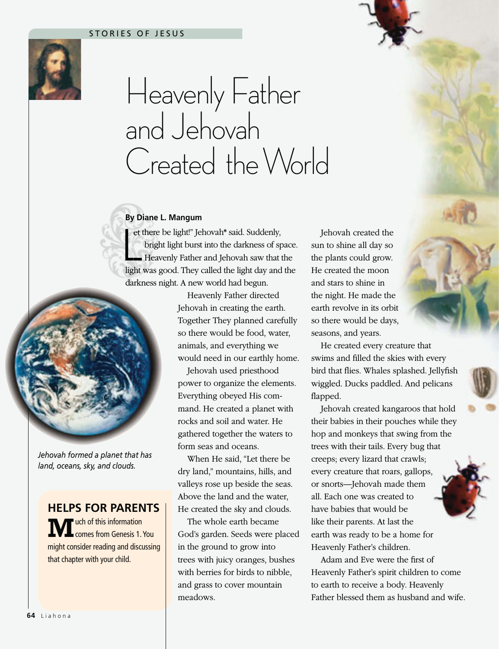## STORIES OF JESUS



## Heavenly Father and Jehovah Created the World

## **By Diane L. Mangum Diane**

bright light burst into the darkness of space.<br>Heavenly Father and Jehovah saw that the light was good. They called the light day and the et there be light!" Jehovah\* said. Suddenly, there bright light burst into the darkness of space. brig Heavenly Father and Jehovah saw that the Hea darkness night. A new world had begun.



*Jehovah formed a planet that has land, oceans, sky, and clouds.*

**HELPS FOR PARENTS**

**M**uch of this information<br> **Comes from Genesis 1. You** might consider reading and discussing that chapter with your child.

Heavenly Father directed Jehovah in creating the earth. Together They planned carefully so there would be food, water, animals, and everything we would need in our earthly home.

Jehovah used priesthood power to organize the elements. Everything obeyed His command. He created a planet with rocks and soil and water. He gathered together the waters to form seas and oceans.

When He said, "Let there be dry land," mountains, hills, and valleys rose up beside the seas. Above the land and the water, He created the sky and clouds.

The whole earth became God's garden. Seeds were placed in the ground to grow into trees with juicy oranges, bushes with berries for birds to nibble, and grass to cover mountain meadows.

Jehovah created the sun to shine all day so the plants could grow. He created the moon and stars to shine in the night. He made the earth revolve in its orbit so there would be days, seasons, and years.

He created every creature that swims and filled the skies with every bird that flies. Whales splashed. Jellyfish wiggled. Ducks paddled. And pelicans flapped.

Jehovah created kangaroos that hold their babies in their pouches while they hop and monkeys that swing from the trees with their tails. Every bug that creeps; every lizard that crawls; every creature that roars, gallops, or snorts—Jehovah made them all. Each one was created to have babies that would be like their parents. At last the earth was ready to be a home for Heavenly Father's children.

Adam and Eve were the first of Heavenly Father's spirit children to come to earth to receive a body. Heavenly Father blessed them as husband and wife.